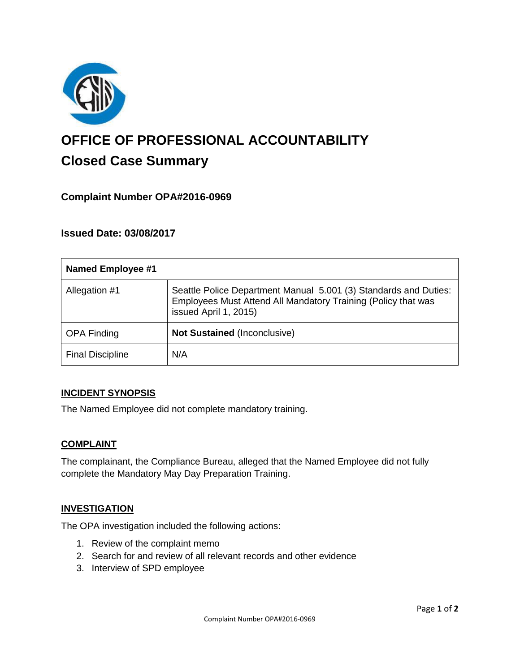

# **OFFICE OF PROFESSIONAL ACCOUNTABILITY Closed Case Summary**

## **Complaint Number OPA#2016-0969**

## **Issued Date: 03/08/2017**

| <b>Named Employee #1</b> |                                                                                                                                                            |
|--------------------------|------------------------------------------------------------------------------------------------------------------------------------------------------------|
| Allegation #1            | Seattle Police Department Manual 5.001 (3) Standards and Duties:<br>Employees Must Attend All Mandatory Training (Policy that was<br>issued April 1, 2015) |
| <b>OPA Finding</b>       | Not Sustained (Inconclusive)                                                                                                                               |
| <b>Final Discipline</b>  | N/A                                                                                                                                                        |

#### **INCIDENT SYNOPSIS**

The Named Employee did not complete mandatory training.

#### **COMPLAINT**

The complainant, the Compliance Bureau, alleged that the Named Employee did not fully complete the Mandatory May Day Preparation Training.

#### **INVESTIGATION**

The OPA investigation included the following actions:

- 1. Review of the complaint memo
- 2. Search for and review of all relevant records and other evidence
- 3. Interview of SPD employee